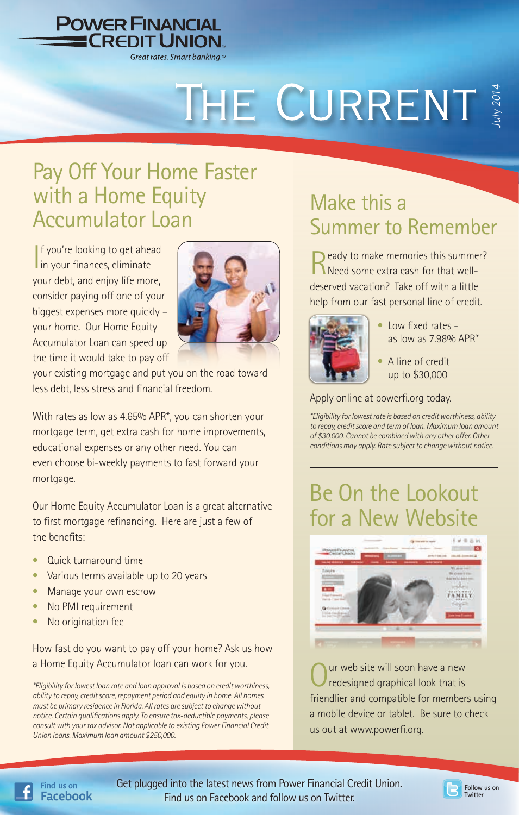

# THE CURRENT

## Pay Off Your Home Faster with a Home Equity Accumulator Loan

| f you're looking to get ahea<br>| in your finances, eliminate **f** you're looking to get ahead your debt, and enjoy life more, consider paying off one of your biggest expenses more quickly – your home. Our Home Equity Accumulator Loan can speed up the time it would take to pay off



your existing mortgage and put you on the road toward less debt, less stress and financial freedom.

With rates as low as 4.65% APR\*, you can shorten your mortgage term, get extra cash for home improvements, educational expenses or any other need. You can even choose bi-weekly payments to fast forward your mortgage.

Our Home Equity Accumulator Loan is a great alternative to first mortgage refinancing. Here are just a few of the benefits:

- Quick turnaround time
- Various terms available up to 20 years
- Manage your own escrow
- No PMI requirement
- No origination fee

Find us on **Facebook** 

How fast do you want to pay off your home? Ask us how a Home Equity Accumulator loan can work for you.

*\*Eligibility for lowest loan rate and loan approval is based on credit worthiness, ability to repay, credit score, repayment period and equity in home. All homes must be primary residence in Florida. All rates are subject to change without notice. Certain qualifications apply. To ensure tax-deductible payments, please consult with your tax advisor. Not applicable to existing Power Financial Credit Union loans. Maximum loan amount \$250,000.* 

## Make this a Summer to Remember

eady to make memories this summer? Need some extra cash for that welldeserved vacation? Take off with a little help from our fast personal line of credit.



- Low fixed rates as low as 7.98% APR\*
- A line of credit up to \$30,000

Apply online at powerfi.org today.

*\*Eligibility for lowest rate is based on credit worthiness, ability to repay, credit score and term of loan. Maximum loan amount of \$30,000. Cannot be combined with any other offer. Other conditions may apply. Rate subject to change without notice.*

## Be On the Lookout for a New Website



ur web site will soon have a new redesigned graphical look that is friendlier and compatible for members using a mobile device or tablet. Be sure to check us out at www.powerfi.org.

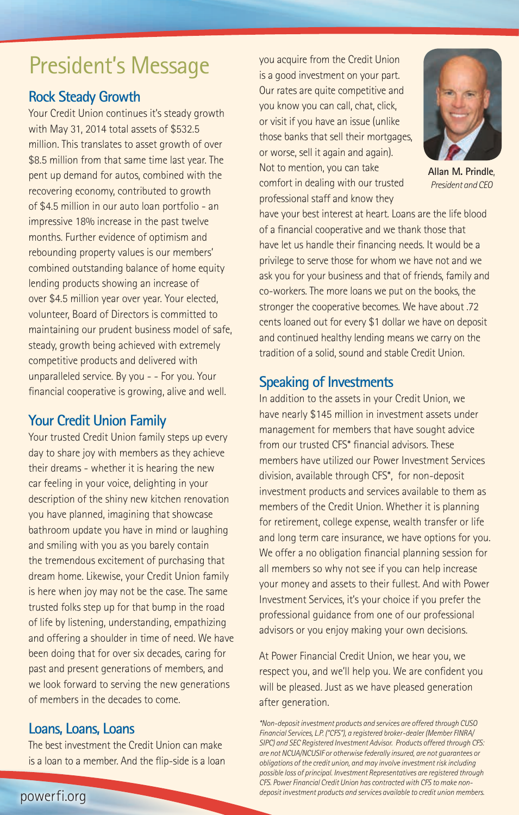## President's Message

#### **Rock Steady Growth**

Your Credit Union continues it's steady growth with May 31, 2014 total assets of \$532.5 million. This translates to asset growth of over \$8.5 million from that same time last year. The pent up demand for autos, combined with the recovering economy, contributed to growth of \$4.5 million in our auto loan portfolio - an impressive 18% increase in the past twelve months. Further evidence of optimism and rebounding property values is our members' combined outstanding balance of home equity lending products showing an increase of over \$4.5 million year over year. Your elected, volunteer, Board of Directors is committed to maintaining our prudent business model of safe, steady, growth being achieved with extremely competitive products and delivered with unparalleled service. By you - - For you. Your financial cooperative is growing, alive and well.

## **Your Credit Union Family**

Your trusted Credit Union family steps up every day to share joy with members as they achieve their dreams - whether it is hearing the new car feeling in your voice, delighting in your description of the shiny new kitchen renovation you have planned, imagining that showcase bathroom update you have in mind or laughing and smiling with you as you barely contain the tremendous excitement of purchasing that dream home. Likewise, your Credit Union family is here when joy may not be the case. The same trusted folks step up for that bump in the road of life by listening, understanding, empathizing and offering a shoulder in time of need. We have been doing that for over six decades, caring for past and present generations of members, and we look forward to serving the new generations of members in the decades to come.

#### **Loans, Loans, Loans**

The best investment the Credit Union can make is a loan to a member. And the flip-side is a loan you acquire from the Credit Union is a good investment on your part. Our rates are quite competitive and you know you can call, chat, click, or visit if you have an issue (unlike those banks that sell their mortgages, or worse, sell it again and again). Not to mention, you can take comfort in dealing with our trusted professional staff and know they



**Allan M. Prindle**, *President and CEO*

have your best interest at heart. Loans are the life blood of a financial cooperative and we thank those that have let us handle their financing needs. It would be a privilege to serve those for whom we have not and we ask you for your business and that of friends, family and co-workers. The more loans we put on the books, the stronger the cooperative becomes. We have about .72 cents loaned out for every \$1 dollar we have on deposit and continued healthy lending means we carry on the tradition of a solid, sound and stable Credit Union.

#### **Speaking of Investments**

In addition to the assets in your Credit Union, we have nearly \$145 million in investment assets under management for members that have sought advice from our trusted CFS\* financial advisors. These members have utilized our Power Investment Services division, available through CFS\*, for non-deposit investment products and services available to them as members of the Credit Union. Whether it is planning for retirement, college expense, wealth transfer or life and long term care insurance, we have options for you. We offer a no obligation financial planning session for all members so why not see if you can help increase your money and assets to their fullest. And with Power Investment Services, it's your choice if you prefer the professional guidance from one of our professional advisors or you enjoy making your own decisions.

At Power Financial Credit Union, we hear you, we respect you, and we'll help you. We are confident you will be pleased. Just as we have pleased generation after generation.

*\*Non-deposit investment products and services are offered through CUSO Financial Services, L.P. ("CFS"), a registered broker-dealer (Member FINRA/ SIPC) and SEC Registered Investment Advisor. Products offered through CFS: are not NCUA/NCUSIF or otherwise federally insured, are not guarantees or obligations of the credit union, and may involve investment risk including possible loss of principal. Investment Representatives are registered through CFS. Power Financial Credit Union has contracted with CFS to make nondeposit investment products and services available to credit union members.*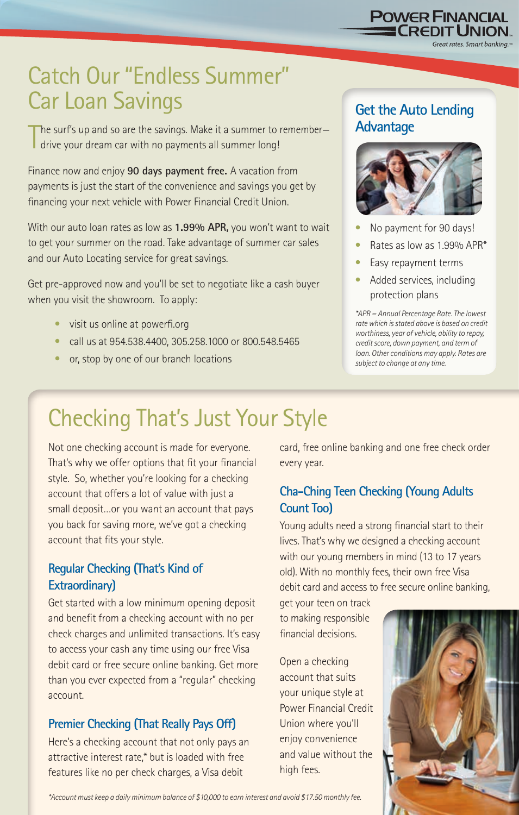*\*Account must keep a daily minimum balance of \$10,000 to earn interest and avoid \$17.50 monthly fee.*

## Catch Our "Endless Summer" Car Loan Savings

The surf's up and so are the savings. Make it a summer to remember–<br>drive your dream car with no payments all summer long! drive your dream car with no payments all summer long!

Finance now and enjoy **90 days payment free.** A vacation from payments is just the start of the convenience and savings you get by financing your next vehicle with Power Financial Credit Union.

With our auto loan rates as low as **1.99% APR,** you won't want to wait to get your summer on the road. Take advantage of summer car sales and our Auto Locating service for great savings.

Get pre-approved now and you'll be set to negotiate like a cash buyer when you visit the showroom. To apply:

- visit us online at powerfi.org
- call us at 954.538.4400, 305.258.1000 or 800.548.5465
- or, stop by one of our branch locations

#### **Get the Auto Lending Advantage**

**POWER FINANCIAL**<br><u>- CREDIT UNION</u>

Great rates. Smart banking.™



- No payment for 90 days!
- Rates as low as 1.99% APR\*
- Easy repayment terms
- Added services, including protection plans

*\*APR = Annual Percentage Rate. The lowest rate which is stated above is based on credit worthiness, year of vehicle, ability to repay, credit score, down payment, and term of loan. Other conditions may apply. Rates are subject to change at any time.*

## Checking That's Just Your Style

Not one checking account is made for everyone. That's why we offer options that fit your financial style. So, whether you're looking for a checking account that offers a lot of value with just a small deposit…or you want an account that pays you back for saving more, we've got a checking account that fits your style.

#### **Regular Checking (That's Kind of Extraordinary)**

Get started with a low minimum opening deposit and benefit from a checking account with no per check charges and unlimited transactions. It's easy to access your cash any time using our free Visa debit card or free secure online banking. Get more than you ever expected from a "regular" checking account.

### **Premier Checking (That Really Pays Off)**

Here's a checking account that not only pays an attractive interest rate,\* but is loaded with free features like no per check charges, a Visa debit

card, free online banking and one free check order every year.

#### **Cha-Ching Teen Checking (Young Adults Count Too)**

Young adults need a strong financial start to their lives. That's why we designed a checking account with our young members in mind (13 to 17 years old). With no monthly fees, their own free Visa debit card and access to free secure online banking,

get your teen on track to making responsible financial decisions.

Open a checking account that suits your unique style at Power Financial Credit Union where you'll enjoy convenience and value without the high fees.